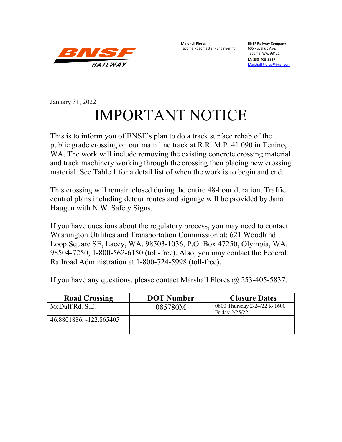

**Marshall Flores BNSF Railway Company** Tacoma Roadmaster - Engineering

Tacoma. WA. 98421

M: 253-405-5837 [Marshall.Flores@bnsf.com](mailto:Marshall.Flores@bnsf.com)

## January 31, 2022 IMPORTANT NOTICE

This is to inform you of BNSF's plan to do a track surface rehab of the public grade crossing on our main line track at R.R. M.P. 41.090 in Tenino, WA. The work will include removing the existing concrete crossing material and track machinery working through the crossing then placing new crossing material. See Table 1 for a detail list of when the work is to begin and end.

This crossing will remain closed during the entire 48-hour duration. Traffic control plans including detour routes and signage will be provided by Jana Haugen with N.W. Safety Signs.

If you have questions about the regulatory process, you may need to contact Washington Utilities and Transportation Commission at: 621 Woodland Loop Square SE, Lacey, WA. 98503-1036, P.O. Box 47250, Olympia, WA. 98504-7250; 1-800-562-6150 (toll-free). Also, you may contact the Federal Railroad Administration at 1-800-724-5998 (toll-free).

If you have any questions, please contact Marshall Flores  $\omega$  253-405-5837.

| <b>Road Crossing</b>    | <b>DOT</b> Number | <b>Closure Dates</b>                            |
|-------------------------|-------------------|-------------------------------------------------|
| McDuff Rd. S.E.         | 085780M           | 0800 Thursday 2/24/22 to 1600<br>Friday 2/25/22 |
| 46.8801886, -122.865405 |                   |                                                 |
|                         |                   |                                                 |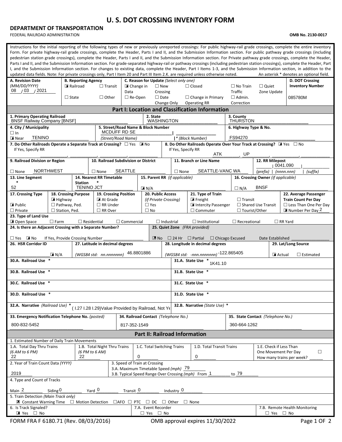## **U. S. DOT CROSSING INVENTORY FORM**

## **DEPARTMENT OF TRANSPORTATION**

FEDERAL RAILROAD ADMINISTRATION **OMB No. 2130-0017**

| Instructions for the initial reporting of the following types of new or previously unreported crossings: For public highway-rail grade crossings, complete the entire inventory<br>Form. For private highway-rail grade crossings, complete the Header, Parts I and II, and the Submission Information section. For public pathway grade crossings (including<br>pedestrian station grade crossings), complete the Header, Parts I and II, and the Submission Information section. For Private pathway grade crossings, complete the Header,<br>Parts I and II, and the Submission Information section. For grade-separated highway-rail or pathway crossings (including pedestrian station crossings), complete the Header, Part<br>I, and the Submission Information section. For changes to existing data, complete the Header, Part I Items 1-3, and the Submission Information section, in addition to the<br>An asterisk * denotes an optional field.<br>updated data fields. Note: For private crossings only, Part I Item 20 and Part III Item 2.K. are required unless otherwise noted. |                                        |                    |                                                     |                                                      |                          |                                                         |                                     |                                                     |                                             |                                                            |                                            |  |  |  |
|--------------------------------------------------------------------------------------------------------------------------------------------------------------------------------------------------------------------------------------------------------------------------------------------------------------------------------------------------------------------------------------------------------------------------------------------------------------------------------------------------------------------------------------------------------------------------------------------------------------------------------------------------------------------------------------------------------------------------------------------------------------------------------------------------------------------------------------------------------------------------------------------------------------------------------------------------------------------------------------------------------------------------------------------------------------------------------------------------|----------------------------------------|--------------------|-----------------------------------------------------|------------------------------------------------------|--------------------------|---------------------------------------------------------|-------------------------------------|-----------------------------------------------------|---------------------------------------------|------------------------------------------------------------|--------------------------------------------|--|--|--|
| A. Revision Date<br>(MM/DD/YYYY)                                                                                                                                                                                                                                                                                                                                                                                                                                                                                                                                                                                                                                                                                                                                                                                                                                                                                                                                                                                                                                                                 | <b>B. Reporting Agency</b><br>Railroad |                    |                                                     |                                                      |                          | C. Reason for Update (Select only one)<br>$\square$ New |                                     |                                                     | $\Box$ No Train                             | $\Box$ Quiet                                               | D. DOT Crossing<br><b>Inventory Number</b> |  |  |  |
| /03 / 2021<br>08                                                                                                                                                                                                                                                                                                                                                                                                                                                                                                                                                                                                                                                                                                                                                                                                                                                                                                                                                                                                                                                                                 |                                        |                    |                                                     | $\triangleright$ Change in<br>$\Box$ Transit<br>Data |                          |                                                         |                                     | $\Box$ Closed                                       | <b>Traffic</b>                              | Zone Update                                                |                                            |  |  |  |
|                                                                                                                                                                                                                                                                                                                                                                                                                                                                                                                                                                                                                                                                                                                                                                                                                                                                                                                                                                                                                                                                                                  |                                        | $\Box$ State       | $\Box$ Other                                        | $\Box$ Date<br>$\Box$ Re-Open                        |                          |                                                         |                                     | $\Box$ Change in Primary                            | $\Box$ Admin.                               |                                                            | 085780M                                    |  |  |  |
| <b>Operating RR</b><br>Correction<br>Change Only<br><b>Part I: Location and Classification Information</b>                                                                                                                                                                                                                                                                                                                                                                                                                                                                                                                                                                                                                                                                                                                                                                                                                                                                                                                                                                                       |                                        |                    |                                                     |                                                      |                          |                                                         |                                     |                                                     |                                             |                                                            |                                            |  |  |  |
| 1. Primary Operating Railroad                                                                                                                                                                                                                                                                                                                                                                                                                                                                                                                                                                                                                                                                                                                                                                                                                                                                                                                                                                                                                                                                    |                                        |                    |                                                     |                                                      | 2. State                 | 3. County                                               |                                     |                                                     |                                             |                                                            |                                            |  |  |  |
| <b>BNSF Railway Company [BNSF]</b><br>4. City / Municipality                                                                                                                                                                                                                                                                                                                                                                                                                                                                                                                                                                                                                                                                                                                                                                                                                                                                                                                                                                                                                                     |                                        |                    |                                                     | 5. Street/Road Name & Block Number                   |                          | <b>WASHINGTON</b>                                       |                                     |                                                     | <b>THURSTON</b><br>6. Highway Type & No.    |                                                            |                                            |  |  |  |
| $\Box$ In                                                                                                                                                                                                                                                                                                                                                                                                                                                                                                                                                                                                                                                                                                                                                                                                                                                                                                                                                                                                                                                                                        |                                        |                    |                                                     | MCDUFF RD SE                                         |                          |                                                         |                                     |                                                     |                                             |                                                            |                                            |  |  |  |
| <b>TENINO</b><br><b>EX</b> Near                                                                                                                                                                                                                                                                                                                                                                                                                                                                                                                                                                                                                                                                                                                                                                                                                                                                                                                                                                                                                                                                  |                                        |                    |                                                     | (Street/Road Name)                                   |                          |                                                         |                                     | * (Block Number)                                    | FS94270                                     |                                                            |                                            |  |  |  |
| 7. Do Other Railroads Operate a Separate Track at Crossing? $\Box$ Yes $\Box$ No<br>8. Do Other Railroads Operate Over Your Track at Crossing? $\mathbb{R}$ Yes $\Box$ No<br>If Yes, Specify RR<br>If Yes, Specify RR<br>ATK<br>UP                                                                                                                                                                                                                                                                                                                                                                                                                                                                                                                                                                                                                                                                                                                                                                                                                                                               |                                        |                    |                                                     |                                                      |                          |                                                         |                                     |                                                     |                                             |                                                            |                                            |  |  |  |
| 9. Railroad Division or Region                                                                                                                                                                                                                                                                                                                                                                                                                                                                                                                                                                                                                                                                                                                                                                                                                                                                                                                                                                                                                                                                   |                                        |                    | 10. Railroad Subdivision or District                |                                                      |                          |                                                         |                                     | 11. Branch or Line Name                             |                                             | 12. RR Milepost<br>0041.090                                |                                            |  |  |  |
| <b>NORTHWEST</b><br>$\Box$ None                                                                                                                                                                                                                                                                                                                                                                                                                                                                                                                                                                                                                                                                                                                                                                                                                                                                                                                                                                                                                                                                  |                                        |                    | $\Box$ None                                         | <b>SEATTLE</b>                                       |                          |                                                         | $\Box$ None                         | SEATTLE-VANC WA                                     |                                             | (prefix)   (nnnn.nnn)<br>(suffix)                          |                                            |  |  |  |
| 13. Line Segment<br>$\ast$                                                                                                                                                                                                                                                                                                                                                                                                                                                                                                                                                                                                                                                                                                                                                                                                                                                                                                                                                                                                                                                                       |                                        | <b>Station</b>     | 14. Nearest RR Timetable                            |                                                      |                          | 15. Parent RR (if applicable)                           |                                     |                                                     |                                             | 16. Crossing Owner (if applicable)                         |                                            |  |  |  |
| 52                                                                                                                                                                                                                                                                                                                                                                                                                                                                                                                                                                                                                                                                                                                                                                                                                                                                                                                                                                                                                                                                                               |                                        | <b>TENINO JCT</b>  |                                                     |                                                      | $\boxed{\mathbf{X}}$ N/A |                                                         |                                     |                                                     | <b>BNSF</b><br>$\Box N/A$                   |                                                            |                                            |  |  |  |
| 17. Crossing Type                                                                                                                                                                                                                                                                                                                                                                                                                                                                                                                                                                                                                                                                                                                                                                                                                                                                                                                                                                                                                                                                                | 18. Crossing Purpose                   |                    | 19. Crossing Position                               |                                                      |                          | <b>20. Public Access</b>                                |                                     | 21. Type of Train                                   |                                             |                                                            | 22. Average Passenger                      |  |  |  |
| <b>E</b> Public                                                                                                                                                                                                                                                                                                                                                                                                                                                                                                                                                                                                                                                                                                                                                                                                                                                                                                                                                                                                                                                                                  | E Highway<br>$\Box$ Pathway, Ped.      |                    | <b>E</b> At Grade<br>$\Box$ RR Under                |                                                      | $\square$ Yes            | (if Private Crossing)                                   |                                     | $\blacksquare$ Freight<br>Intercity Passenger       | $\Box$ Transit<br>$\Box$ Shared Use Transit | <b>Train Count Per Day</b><br>$\Box$ Less Than One Per Day |                                            |  |  |  |
| $\Box$ Private                                                                                                                                                                                                                                                                                                                                                                                                                                                                                                                                                                                                                                                                                                                                                                                                                                                                                                                                                                                                                                                                                   | $\Box$ Station, Ped.                   |                    | $\Box$ RR Over                                      |                                                      | $\square$ No             |                                                         |                                     | $\Box$ Commuter                                     |                                             | $\Box$ Tourist/Other<br>Number Per Day 2                   |                                            |  |  |  |
| 23. Type of Land Use<br><b>X</b> Open Space                                                                                                                                                                                                                                                                                                                                                                                                                                                                                                                                                                                                                                                                                                                                                                                                                                                                                                                                                                                                                                                      | $\Box$ Farm                            | $\Box$ Residential |                                                     | $\Box$ Commercial                                    |                          | $\Box$ Industrial                                       |                                     | $\Box$ Institutional                                | $\Box$ Recreational                         |                                                            | $\Box$ RR Yard                             |  |  |  |
| 24. Is there an Adjacent Crossing with a Separate Number?                                                                                                                                                                                                                                                                                                                                                                                                                                                                                                                                                                                                                                                                                                                                                                                                                                                                                                                                                                                                                                        |                                        |                    |                                                     |                                                      |                          |                                                         |                                     | 25. Quiet Zone (FRA provided)                       |                                             |                                                            |                                            |  |  |  |
| $\blacksquare$ No<br>$\square$ Yes                                                                                                                                                                                                                                                                                                                                                                                                                                                                                                                                                                                                                                                                                                                                                                                                                                                                                                                                                                                                                                                               | If Yes, Provide Crossing Number        |                    |                                                     |                                                      |                          | $\mathbb{Z}$ No                                         |                                     | $\Box$ 24 Hr $\Box$ Partial                         | $\Box$ Chicago Excused                      | Date Established                                           |                                            |  |  |  |
| 26. HSR Corridor ID                                                                                                                                                                                                                                                                                                                                                                                                                                                                                                                                                                                                                                                                                                                                                                                                                                                                                                                                                                                                                                                                              |                                        |                    | 27. Latitude in decimal degrees                     |                                                      |                          |                                                         |                                     | 28. Longitude in decimal degrees                    |                                             |                                                            | 29. Lat/Long Source                        |  |  |  |
|                                                                                                                                                                                                                                                                                                                                                                                                                                                                                                                                                                                                                                                                                                                                                                                                                                                                                                                                                                                                                                                                                                  | $X$ N/A                                |                    | (WGS84 std: nn.nnnnnnn)                             |                                                      | 46.8801886               |                                                         |                                     | (WGS84 std: -nnn.nnnnnnn) -122.865405               |                                             | <b>X</b> Actual                                            | $\Box$ Estimated                           |  |  |  |
| 30.A. Railroad Use                                                                                                                                                                                                                                                                                                                                                                                                                                                                                                                                                                                                                                                                                                                                                                                                                                                                                                                                                                                                                                                                               |                                        |                    |                                                     |                                                      |                          |                                                         |                                     | 31.A. State Use<br>1K41.10                          |                                             |                                                            |                                            |  |  |  |
| 30.B. Railroad Use *                                                                                                                                                                                                                                                                                                                                                                                                                                                                                                                                                                                                                                                                                                                                                                                                                                                                                                                                                                                                                                                                             |                                        |                    |                                                     |                                                      |                          |                                                         |                                     | 31.B. State Use *                                   |                                             |                                                            |                                            |  |  |  |
| 30.C. Railroad Use *                                                                                                                                                                                                                                                                                                                                                                                                                                                                                                                                                                                                                                                                                                                                                                                                                                                                                                                                                                                                                                                                             |                                        |                    |                                                     |                                                      |                          |                                                         | 31.C. State Use *                   |                                                     |                                             |                                                            |                                            |  |  |  |
| 30.D. Railroad Use                                                                                                                                                                                                                                                                                                                                                                                                                                                                                                                                                                                                                                                                                                                                                                                                                                                                                                                                                                                                                                                                               |                                        |                    |                                                     |                                                      |                          |                                                         | 31.D. State Use                     |                                                     |                                             |                                                            |                                            |  |  |  |
| 32.A. Narrative (Railroad Use) *                                                                                                                                                                                                                                                                                                                                                                                                                                                                                                                                                                                                                                                                                                                                                                                                                                                                                                                                                                                                                                                                 |                                        |                    | (1.27 I.28 I.29) Value Provided by Railroad, Not Ye |                                                      |                          |                                                         |                                     | 32.B. Narrative (State Use) *                       |                                             |                                                            |                                            |  |  |  |
| 33. Emergency Notification Telephone No. (posted)                                                                                                                                                                                                                                                                                                                                                                                                                                                                                                                                                                                                                                                                                                                                                                                                                                                                                                                                                                                                                                                |                                        |                    |                                                     | 34. Railroad Contact (Telephone No.)                 |                          |                                                         |                                     |                                                     | 35. State Contact (Telephone No.)           |                                                            |                                            |  |  |  |
| 800-832-5452                                                                                                                                                                                                                                                                                                                                                                                                                                                                                                                                                                                                                                                                                                                                                                                                                                                                                                                                                                                                                                                                                     |                                        |                    |                                                     | 817-352-1549                                         |                          |                                                         | 360-664-1262                        |                                                     |                                             |                                                            |                                            |  |  |  |
|                                                                                                                                                                                                                                                                                                                                                                                                                                                                                                                                                                                                                                                                                                                                                                                                                                                                                                                                                                                                                                                                                                  |                                        |                    |                                                     |                                                      |                          |                                                         |                                     | <b>Part II: Railroad Information</b>                |                                             |                                                            |                                            |  |  |  |
| 1. Estimated Number of Daily Train Movements<br>1.A. Total Day Thru Trains                                                                                                                                                                                                                                                                                                                                                                                                                                                                                                                                                                                                                                                                                                                                                                                                                                                                                                                                                                                                                       |                                        |                    |                                                     |                                                      |                          |                                                         |                                     | 1.D. Total Transit Trains                           |                                             | 1.E. Check if Less Than                                    |                                            |  |  |  |
| 1.B. Total Night Thru Trains<br>1.C. Total Switching Trains<br>(6 AM to 6 PM)<br>(6 PM to 6 AM)<br>0                                                                                                                                                                                                                                                                                                                                                                                                                                                                                                                                                                                                                                                                                                                                                                                                                                                                                                                                                                                             |                                        |                    |                                                     |                                                      |                          |                                                         | $\Box$<br>One Movement Per Day<br>0 |                                                     |                                             |                                                            |                                            |  |  |  |
| 22                                                                                                                                                                                                                                                                                                                                                                                                                                                                                                                                                                                                                                                                                                                                                                                                                                                                                                                                                                                                                                                                                               |                                        | 22                 |                                                     |                                                      |                          |                                                         |                                     |                                                     |                                             | How many trains per week?                                  |                                            |  |  |  |
| 2. Year of Train Count Data (YYYY)<br>3. Speed of Train at Crossing<br>3.A. Maximum Timetable Speed (mph) 79                                                                                                                                                                                                                                                                                                                                                                                                                                                                                                                                                                                                                                                                                                                                                                                                                                                                                                                                                                                     |                                        |                    |                                                     |                                                      |                          |                                                         |                                     |                                                     |                                             |                                                            |                                            |  |  |  |
| 2019<br>4. Type and Count of Tracks                                                                                                                                                                                                                                                                                                                                                                                                                                                                                                                                                                                                                                                                                                                                                                                                                                                                                                                                                                                                                                                              |                                        |                    |                                                     |                                                      |                          |                                                         |                                     | 3.B. Typical Speed Range Over Crossing (mph) From 1 | to 79                                       |                                                            |                                            |  |  |  |
| Yard 0<br>Main <sub>2</sub><br>Transit 0<br>Industry 0<br>Siding $0$                                                                                                                                                                                                                                                                                                                                                                                                                                                                                                                                                                                                                                                                                                                                                                                                                                                                                                                                                                                                                             |                                        |                    |                                                     |                                                      |                          |                                                         |                                     |                                                     |                                             |                                                            |                                            |  |  |  |
| 5. Train Detection (Main Track only)                                                                                                                                                                                                                                                                                                                                                                                                                                                                                                                                                                                                                                                                                                                                                                                                                                                                                                                                                                                                                                                             |                                        |                    |                                                     |                                                      |                          |                                                         |                                     |                                                     |                                             |                                                            |                                            |  |  |  |
| $\blacksquare$ Constant Warning Time $\Box$ Motion Detection<br>6. Is Track Signaled?                                                                                                                                                                                                                                                                                                                                                                                                                                                                                                                                                                                                                                                                                                                                                                                                                                                                                                                                                                                                            |                                        |                    |                                                     | $\Box$ AFO $\Box$ PTC                                | $\sqcup$ DC              | $\Box$ Other<br>7.A. Event Recorder                     |                                     | $\Box$ None                                         |                                             |                                                            | 7.B. Remote Health Monitoring              |  |  |  |
| ■ Yes □ No                                                                                                                                                                                                                                                                                                                                                                                                                                                                                                                                                                                                                                                                                                                                                                                                                                                                                                                                                                                                                                                                                       |                                        |                    |                                                     |                                                      |                          | $\Box$ Yes $\Box$ No                                    |                                     |                                                     |                                             | $\square$ Yes $\square$ No                                 |                                            |  |  |  |
| FORM FRA F 6180.71 (Rev. 08/03/2016)                                                                                                                                                                                                                                                                                                                                                                                                                                                                                                                                                                                                                                                                                                                                                                                                                                                                                                                                                                                                                                                             |                                        |                    |                                                     |                                                      |                          |                                                         |                                     | OMB approval expires 11/30/2022                     |                                             |                                                            | Page 1 OF 2                                |  |  |  |